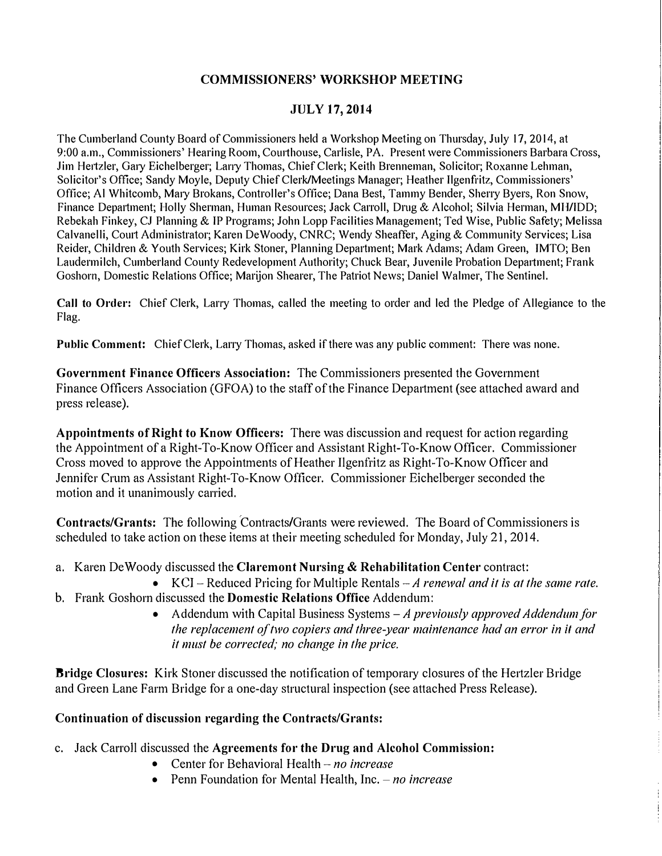#### **COMMISSIONERS' WORKSHOP MEETING**

#### **JULY 17, 2014**

The Cumberland County Board of Commissioners held a Workshop Meeting on Thursday, July 17, 2014, at 9:00 a.m., Commissioners' Hearing Room, Courthouse, Carlisle, PA. Present were Commissioners Barbara Cross, Jim He1tzler, Gaiy Eichelberger; Lany Thomas, Chief Clerk; Keith Brenneman, Solicitor; Roxanne Lehman, Solicitor's Office; Sandy Moyle, Deputy Chief Clerk/Meetings Manager; Heather Ilgenf<sup>r</sup> itz, Commissioners' Office; Al Whitcomb, Maiy Brokans, Controller's Office; Dana Best, Tammy Bender, Sherry Byers, Ron Snow, Finance Department; Holly Sherman, Human Resources; Jack Carroll, Drug & Alcohol; Silvia Herman, MH/IDD; Rebekah Finkey, CJ Planning & IP Programs; John Lopp Facilities Management; Ted Wise, Public Safety; Melissa Calvanelli, Court Administrator; Karen De Woody, CNRC; Wendy Sheaffer, Aging & Community Services; Lisa Reider, Children & Youth Services; Kirk Stoner, Planning Department; Mark Adams; Adam Green, JMTO; Ben Laudermilch, Cumberland County Redevelopment Authority; Chuck Bear, Juvenile Probation Department; Frank Goshorn, Domestic Relations Office; Marijon Shearer, The Patriot News; Daniel Walmer, The Sentinel.

**Call to Order:** Chief Clerk, Larry Thomas, called the meeting to order and led the Pledge of Allegiance to the Flag.

**Public Comment:** Chief Clerk, Larry Thomas, asked if there was any public comment: There was none.

**Government Finance Officers Association:** The Commissioners presented the Government Finance Officers Association (GFOA) to the staff of the Finance Department (see attached award and press release).

**Appointments of Right to Know Officers:** There was discussion and request for action regarding the Appointment of a Right-To-Know Officer and Assistant Right-To-Know Officer. Commissioner Cross moved to approve the Appointments of Heather Ilgenfritz as Right-To-Know Officer and Jennifer Crum as Assistant Right-To-Know Officer. Commissioner Eichelberger seconded the motion and it unanimously carried.

**Contracts/Grants:** The following Contracts/Grants were reviewed. The Board of Commissioners is scheduled to take action on these items at their meeting scheduled for Monday, July 21, 2014.

- a. Karen De Woody discussed the **Claremont Nursing** & **Rehabilitation Center** contract:
- KC! Reduced Pricing for Multiple Rentals *-A renewal and it is at the same rate.*  b. Frank Goshorn discussed the **Domestic Relations Office** Addendum:
	- Addendum with Capital Business Systems *-A previously approved Addendum for the replacement of two copiers and three-year maintenance had an error in it and it must be corrected; no change in the price.*

**Bridge Closures:** Kirk Stoner discussed the notification of temporary closures of the Hertzler Bridge and Green Lane Farm Bridge for a one-day structural inspection (see attached Press Release).

#### **Continuation of discussion regarding the Contracts/Grants:**

- c. Jack Carroll discussed the Agreements for the Drug and Alcohol Commission:
	- Center for Behavioral Health *no increase*
	- Penn Foundation for Mental Health, Inc. *no increase*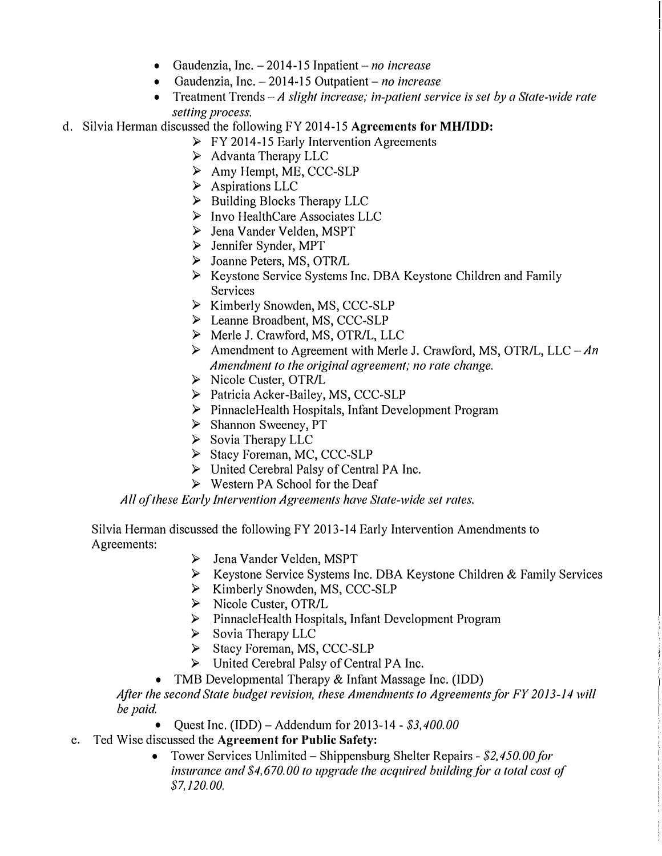- **Gaudenzia, Inc. -2014-15 Inpatient -** *no increase*
- **Gaudenzia, Inc. -2014-15 Outpatient-no** *increase*
- **Treatment Trends** *-A slight increase; in-patient service* **is** *set by a State-wide rate setting process.*
- **d. Silvia Herman discussed the following FY 2014-15 Agreements for MH/IDD:** 
	- **► FY 2014-15 Early Intervention Agreements**
	- **► Advanta Therapy LLC**
	- **► Amy Hempt, ME, CCC-SLP**
	- **► Aspirations LLC**
	- **► Building Blocks Therapy LLC**
	- **► Invo HealthCare Associates LLC**
	- **► Jena Vander Velden, MSPT**
	- **► Jennifer Synder, MPT**
	- **► Joanne Peters, MS, OTR/L**
	- **► Keystone Service Systems Inc. DBA Keystone Children and Family Services**
	- **► Kimberly Snowden, MS, CCC-SLP**
	- **► Leanne Broadbent, MS, CCC-SLP**
	- **► Merle J. Crawford, MS, OTR/L, LLC**
	- **► Amendment to Agreement with Merle J. Crawford, MS, OTR/L, LLC** *-An Amendment to the original agreement; no rate change.*
	- **► Nicole Custer, OTR/L**
	- **► Patricia Acker-Bailey, MS, CCC-SLP**
	- **► PinnacleHealth Hospitals, Infant Development Program**
	- **► Shannon Sweeney, PT**
	- **► Sovia Therapy LLC**
	- **► Stacy Foreman, MC, CCC-SLP**
	- **► United Cerebral Palsy of Central PA Inc.**
	- **► Western PA School for the Deaf**

*All of these Early Intervention Agreements have State-wide set rates.* 

**Silvia Herman discussed the following FY 2013-14 Early Intervention Amendments to Agreements:** 

- **► Jena Vander Velden, MSPT**
- **► Keystone Service Systems Inc. DBA Keystone Children & Family Services**
- **► Kimberly Snowden, MS, CCC-SLP**
- **► Nicole Custer, OTR/L**
- **► PinnacleHealth Hospitals, Infant Development Program**
- **► Sovia Therapy LLC**
- **► Stacy Foreman, MS, CCC-SLP**
- **► United Cerebral Palsy of Central PA Inc.**
- **TMB Developmental Therapy & Infant Massage Inc. (!DD)**

*After the second State budget revision, these Amendments to Agreements for FY 2013-14 will be paid.* 

- **Quest Inc. (IDD) -Addendum for 2013-14 -** *\$3,400.00*
- **e. Ted Wise discussed the Agreement for Public Safety:** 
	- **Tower Services Unlimited -Shippensburg Shelter Repairs -** *\$2,450.00 for insurance and \$4,670.00 to upgrade the acquired building for a total cost of \$7,120.00.*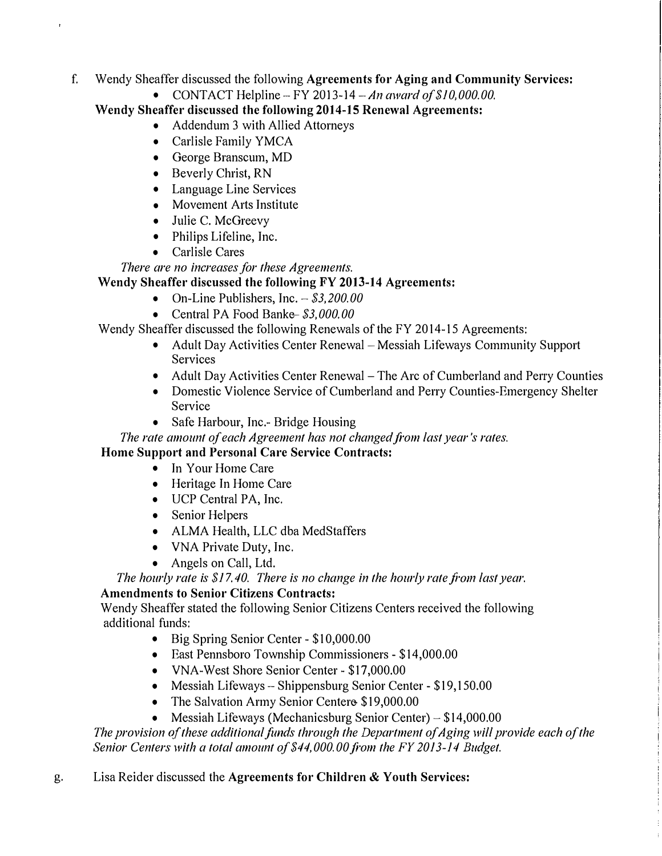- **f. Wendy Sheaffer discussed the following Agreements for Aging and Community Services:** 
	- **CONTACT Helpline-FY** *2013-14 -An award of \$10,000.00.*

**Wendy Sheaffer discussed the following 2014-15 Renewal Agreements:** 

- **Addendum 3 with Allied Attorneys**
- **Carlisle Family YMCA**
- **George Branscum, MD**
- **Beverly Christ, RN**
- **Language Line Services**
- **Movement Arts Institute**
- **Julie C. McGreevy**
- **Philips Lifeline, Inc.**
- **Carlisle Cares**

*There are no increases for these Agreements.* 

# **Wendy Sheaffer discussed the following FY 2013-14 Agreements:**

- **On-Line Publishers, Inc. -** *\$3,200.00*
- **Central PA Food Banke-***\$3,000.00*

**Wendy Sheaffer discussed the following Renewals of the FY 2014-15 Agreements:** 

- Adult Day Activities Center Renewal Messiah Lifeways Community Support **Services**
- Adult Day Activities Center Renewal The Arc of Cumberland and Perry Counties
- **Domestic Violence Service of Cumberland and Perry Counties-Emergency Shelter Service**
- **Safe Harbour, Inc.- Bridge Housing**

*The rate amount of each Agreement has not changed from last year's rates.* 

## **Home Support and Personal Care Service Contracts:**

- **In Your Home Care**
- **Heritage In Home Care**
- **UCP Central PA, Inc.**
- **Senior Helpers**
- **ALMA Health, LLC dba MedStaffers**
- **VNA Private Duty, Inc.**
- **Angels on Call, Ltd.**

The hourly rate is \$17.40. There is no change in the hourly rate from last year.

## **Amendments to Senior Citizens Contracts:**

**Wendy Sheaffer stated the following Senior Citizens Centers received the following additional funds:** 

- **Big Spring Senior Center - \$10,000.00**
- **East Pennsboro Township Commissioners - \$14,000.00**
- **VNA-West Shore Senior Center - \$17,000.00**
- **Messiah Lifeways - Shippensburg Senior Center - \$19,150.00**
- **The Salvation Army Senior Centere- \$19,000.00**
- **Messiah Lifeways (Mechanicsburg Senior Center) - \$14,000.00**

The provision of these additional funds through the Department of Aging will provide each of the *Senior Centers with a total amount of \$44,000. 00 fi'om the FY 2013-14 Budget.* 

**g. Lisa Reider discussed the Agreements for Children & Youth Services:**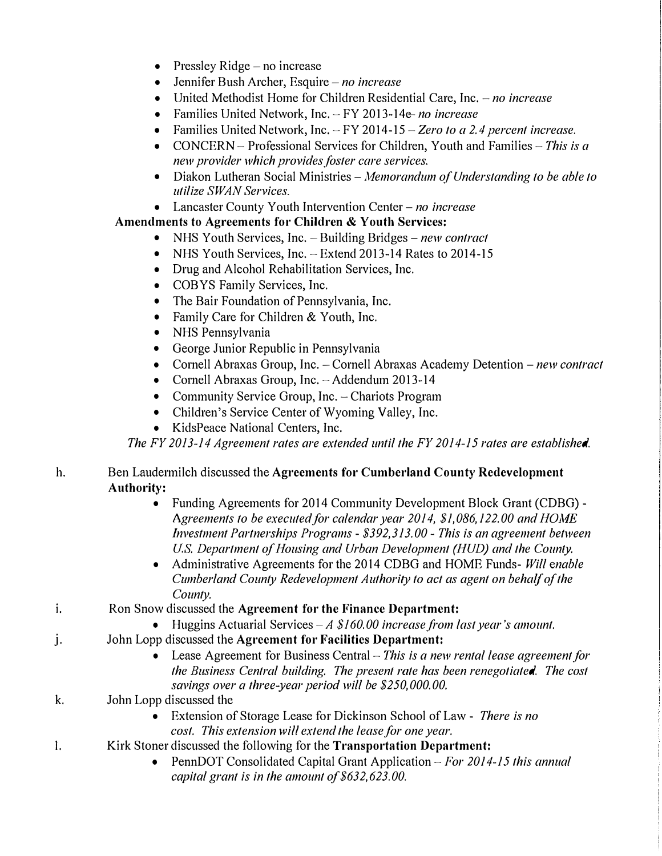- **Pressley Ridge -no increase**
- **Jennifer Bush Archer, Esquire -***no increase*
- **United Methodist Home for Children Residential Care, Inc. -** *no increase*
- **Families United Network, Inc. -FY 2013-14e-no** *increase*
- **Families United Network, Inc. -FY 2014-15 -** *Zero to a 2. 4 percent increase.*
- **CONCERN Professional Services for Children, Youth and Families -** *This* **is** *a new provider which provides foster care services.*
- **Diakon Lutheran Social Ministries -***Memorandum of Understanding to be able to utilize SWAN Services.*
- **Lancaster County Youth Intervention Center -***no increase*

# **Amendments to Agreements for Children & Youth Services:**

- NHS Youth Services, Inc. Building Bridges *new contract*
- NHS Youth Services, Inc. Extend 2013-14 Rates to 2014-15
- **Drug and Alcohol Rehabilitation Services, Inc.**
- **COBYS Family Services, Inc.**
- **The Bair Foundation of Pennsylvania, Inc.**
- **Family Care for Children & Youth, Inc.**
- **NHS Pennsylvania**
- **George Junior Republic in Pennsylvania**
- Cornell Abraxas Group, Inc. Cornell Abraxas Academy Detention *new contract*
- **Cornell Abraxas Group, Inc. -Addendum 2013-14**
- Community Service Group, Inc. Chariots Program
- **Children's Service Center of Wyoming Valley, Inc.**
- **KidsPeace National Centers, Inc.**

*The FY 2013-14 Agreement rates are extended until the FY 2014-15 rates are established.* 

### **h. Ben Laudermilch discussed the Agreements for Cumberland County Redevelopment Authority:**

- **Funding Agreements for 2014 Community Development Block Grant (CDBG) -** *Agreements to be executed for calendar year 2014, \$1,086,122.00 and HOJvJE Investment Partnerships Programs* **-***\$392,313.00* **-** *This* **is** *an agreement between U.S. Department of Housing and Urban Development (HUD) and the County.*
- **Administrative Agreements for the 2014 CDBG and HOME Funds-** *Will enable Cumberland County Redevelopment Authority to act as agent on behalf of the County.*
- **i. Ron Snow discussed the Agreement for the Finance Department:** 
	- **Huggins Actuarial Services** *-A \$160. 00 increase from last year's amount.*
- **j. John Lopp discussed the Agreement for Facilities Department:** 
	- **Lease Agreement for Business Central -** *This* **is** *a new rental lease agreement for the Business Central building. The present rate has been renegotiated. The cost savings over a three-year period will be \$250,000.00.*
- **k. John Lopp discussed the** 
	- **Extension of Storage Lease for Dickinson School of Law -** *There is no cost. This extension* **will** *extend the lease for one year.*
- **I. Kirk Stoner discussed the following for the Transportation Department:** 
	- **PennDOT Consolidated Capital Grant Application -** *For 2014-15 this annual*  capital grant is in the amount of \$632,623.00.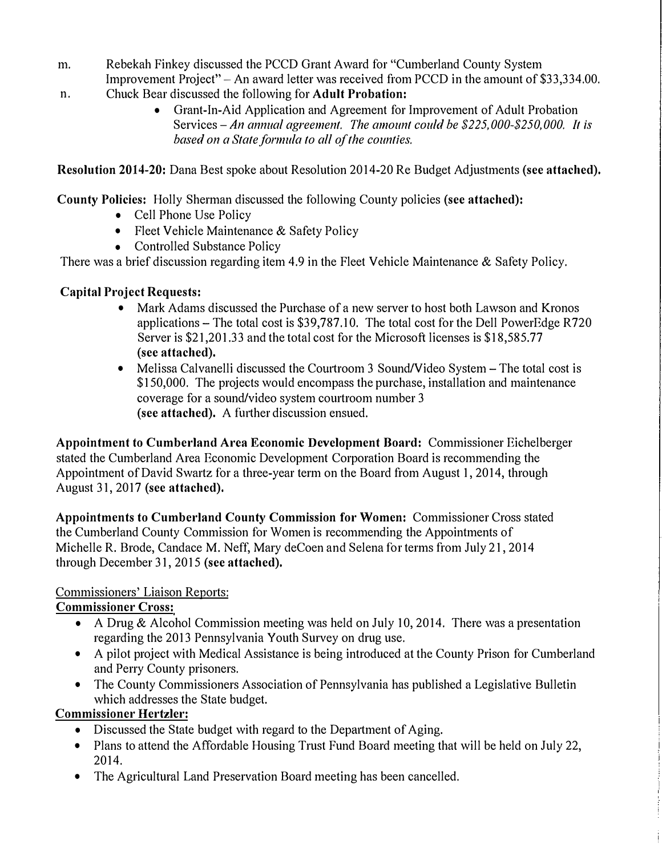- **m. Rebekah Finkey discussed the PCCD Grant Award for "Cumberland County System**  Improvement Project" – An award letter was received from PCCD in the amount of \$33,334,00.
- **n. Chuck Bear discussed the following for Adult Probation:** 
	- **Grant-In-Aid Application and Agreement for Improvement of Adult Probation Services-An** *annual agreement. The amount could be \$225,000-\$250,000. It* **is**  *based on a State formula to all of the counties.*

**Resolution 2014-20: Dana Best spoke about Resolution 2014-20 Re Budget Adjustments (see attached),** 

**County Policies: Holly Sherman discussed the following County policies (see attached):** 

- **Cell Phone Use Policy**
- **Fleet Vehicle Maintenance & Safety Policy**
- **Controlled Substance Policy**

**There was a brief discussion regarding item 4.9 in the Fleet Vehicle Maintenance & Safety Policy.** 

# **Capital Project Requests:**

- **Mark Adams discussed the Purchase of a new server to host both Lawson and Kronos applications - The total cost is \$39,787.10. The total cost for the Dell PowerEdge R720 Server is \$21,201.33 and the total cost for the Microsoft licenses is \$18,585.77 (see attached).**
- Melissa Calvanelli discussed the Courtroom 3 Sound/Video System The total cost is **\$150,000. The projects would encompass the purchase, installation and maintenance coverage for a sound/video system courtroom number 3 (see attached). A futiher discussion ensued.**

**Appointment to Cumberland Arca Economic Development Board: Commissioner Eichelberger stated the Cumberland Area Economic Development Corporation Board is recommending the Appointment of David Swartz for a three-year term on the Board from August 1, 2014, through August 31, 2017 (see attached).** 

**Appointments to Cumberland County Commission for Women: Commissioner Cross stated the Cumberland County Commission for Women is recommending the Appointments of Michelle R. Brode, Candace M. Neff, Mary deCoen and Selena for terms from July 21, 2014 through December 31, 2015 (see attached),** 

## **Commissioners' Liaison Reports:**

## **Commissioner Cross:**

- **A Drug & Alcohol Commission meeting was held on July 10, 2014. There was a presentation regarding the 2013 Pennsylvania Youth Survey on drug use.**
- **A pilot project with Medical Assistance is being introduced at the County Prison for Cumberland and Perry County prisoners.**
- **The County Commissioners Association of Pennsylvania has published a Legislative Bulletin which addresses the State budget.**

## **Commissioner Hertzler:**

- Discussed the State budget with regard to the Department of Aging.
- **Plans to attend the Affordable Housing Trust Fund Board meeting that will be held on July 22, 2014.**
- **The Agricultural Land Preservation Board meeting has been cancelled.**